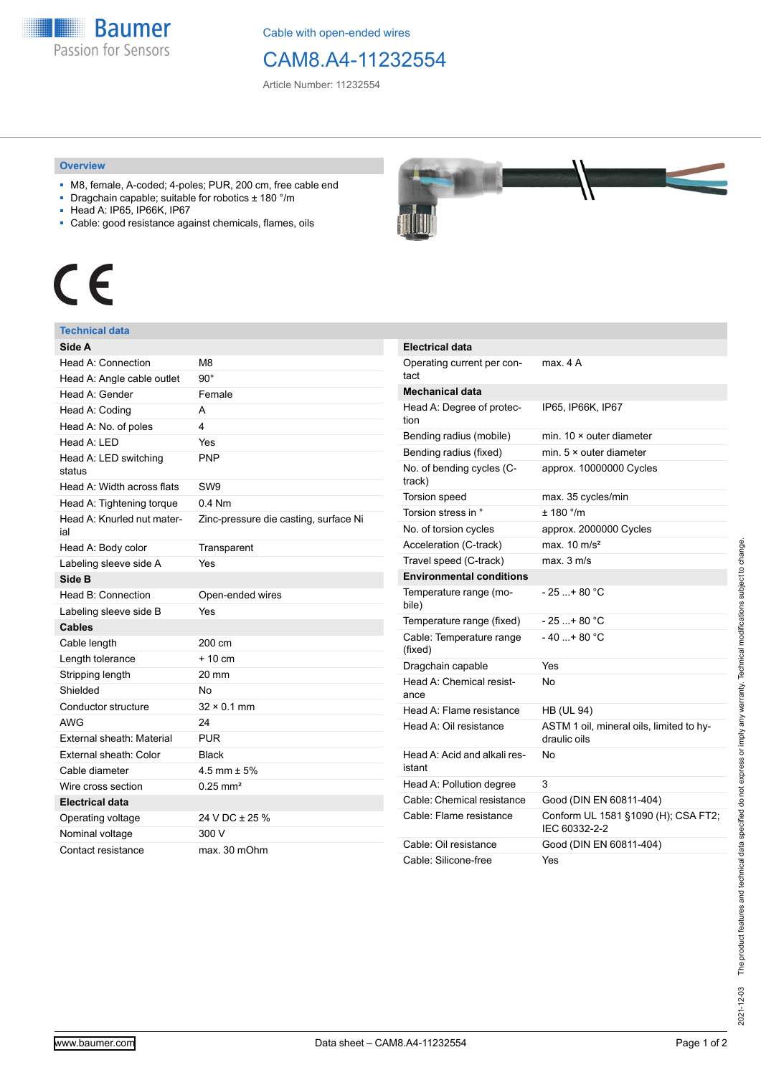**Baumer** Passion for Sensors

Cable with open-ended wires

## CAM8.A4-11232554

Article Number: 11232554

#### **Overview**

- M8, female, A-coded; 4-poles; PUR, 200 cm, free cable end
- Dragchain capable; suitable for robotics ± 180 °/m
- Head A: IP65, IP66K, IP67
- Cable: good resistance against chemicals, flames, oils

# $\epsilon$

### **Technical data**

| Side A                            |                                       |
|-----------------------------------|---------------------------------------|
| Head A: Connection                | M8                                    |
| Head A: Angle cable outlet        | $90^{\circ}$                          |
| Head A: Gender                    | Female                                |
| Head A: Coding                    | А                                     |
| Head A: No. of poles              | 4                                     |
| Head A: LED                       | Yes                                   |
| Head A: LED switching<br>status   | PNP                                   |
| Head A: Width across flats        | SW <sub>9</sub>                       |
| Head A: Tightening torque         | $0.4$ Nm                              |
| Head A: Knurled nut mater-<br>ial | Zinc-pressure die casting, surface Ni |
| Head A: Body color                | Transparent                           |
| Labeling sleeve side A            | Yes                                   |
| Side B                            |                                       |
| Head B: Connection                | Open-ended wires                      |
| Labeling sleeve side B            | Yes                                   |
| <b>Cables</b>                     |                                       |
| Cable length                      | 200 cm                                |
| Length tolerance                  | $+10cm$                               |
| Stripping length                  | $20 \text{ mm}$                       |
| Shielded                          | N٥                                    |
| Conductor structure               | $32 \times 0.1$ mm                    |
| <b>AWG</b>                        | 24                                    |
| External sheath: Material         | <b>PUR</b>                            |
| External sheath: Color            | Black                                 |
| Cable diameter                    | 4.5 mm $\pm$ 5%                       |
| Wire cross section                | $0.25 \text{ mm}^2$                   |
| <b>Electrical data</b>            |                                       |
| Operating voltage                 | 24 V DC ± 25 %                        |
| Nominal voltage                   | 300 V                                 |
| Contact resistance                | max. 30 mOhm                          |



| <b>Electrical data</b>                 |                                                          |
|----------------------------------------|----------------------------------------------------------|
| Operating current per con-<br>tact     | max. 4 A                                                 |
| Mechanical data                        |                                                          |
| Head A: Degree of protec-<br>tion      | IP65, IP66K, IP67                                        |
| Bending radius (mobile)                | min. $10 \times$ outer diameter                          |
| Bending radius (fixed)                 | min. $5 \times$ outer diameter                           |
| No. of bending cycles (C-<br>track)    | approx. 10000000 Cycles                                  |
| Torsion speed                          | max. 35 cycles/min                                       |
| Torsion stress in °                    | ± 180 °/m                                                |
| No. of torsion cycles                  | approx. 2000000 Cycles                                   |
| Acceleration (C-track)                 | max. $10 \text{ m/s}^2$                                  |
| Travel speed (C-track)                 | max. 3 m/s                                               |
| <b>Environmental conditions</b>        |                                                          |
| Temperature range (mo-<br>bile)        | - 25 + 80 °C                                             |
| Temperature range (fixed)              | - 25 + 80 °C                                             |
| Cable: Temperature range<br>(fixed)    | - 40 + 80 °C                                             |
| Dragchain capable                      | Yes                                                      |
| Head A: Chemical resist-<br>ance       | No                                                       |
| Head A: Flame resistance               | <b>HB (UL 94)</b>                                        |
| Head A: Oil resistance                 | ASTM 1 oil, mineral oils, limited to hy-<br>draulic oils |
| Head A: Acid and alkali res-<br>istant | N٥                                                       |
| Head A: Pollution degree               | 3                                                        |
| Cable: Chemical resistance             | Good (DIN EN 60811-404)                                  |
| Cable: Flame resistance                | Conform UL 1581 §1090 (H); CSA FT2;<br>IEC 60332-2-2     |
| Cable: Oil resistance                  | Good (DIN EN 60811-404)                                  |
| Cable: Silicone-free                   | Yes                                                      |